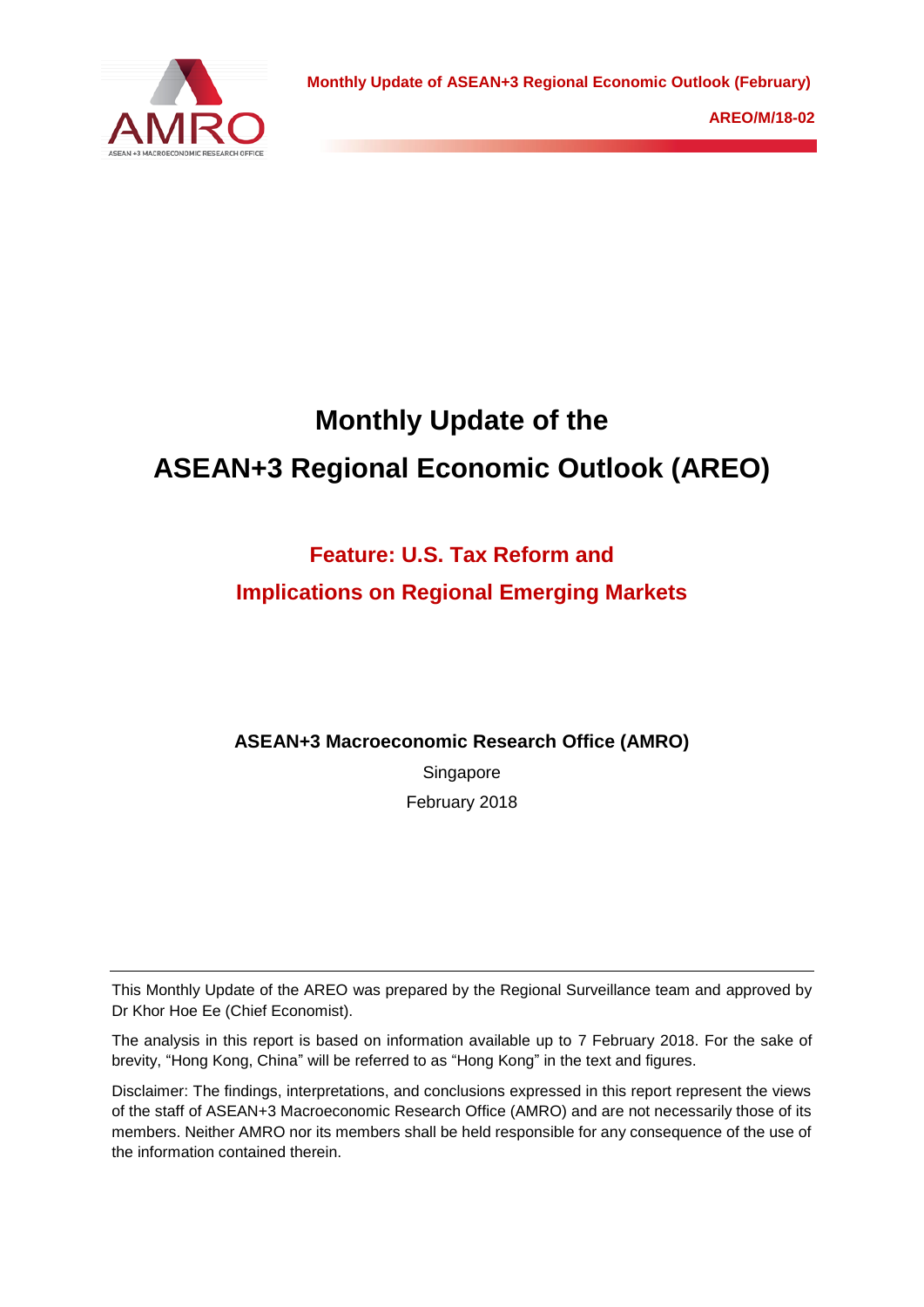

# **Monthly Update of the ASEAN+3 Regional Economic Outlook (AREO)**

# **Feature: U.S. Tax Reform and**

# **Implications on Regional Emerging Markets**

# **ASEAN+3 Macroeconomic Research Office (AMRO)**

Singapore February 2018

This Monthly Update of the AREO was prepared by the Regional Surveillance team and approved by Dr Khor Hoe Ee (Chief Economist).

The analysis in this report is based on information available up to 7 February 2018. For the sake of brevity, "Hong Kong, China" will be referred to as "Hong Kong" in the text and figures.

Disclaimer: The findings, interpretations, and conclusions expressed in this report represent the views of the staff of ASEAN+3 Macroeconomic Research Office (AMRO) and are not necessarily those of its members. Neither AMRO nor its members shall be held responsible for any consequence of the use of the information contained therein.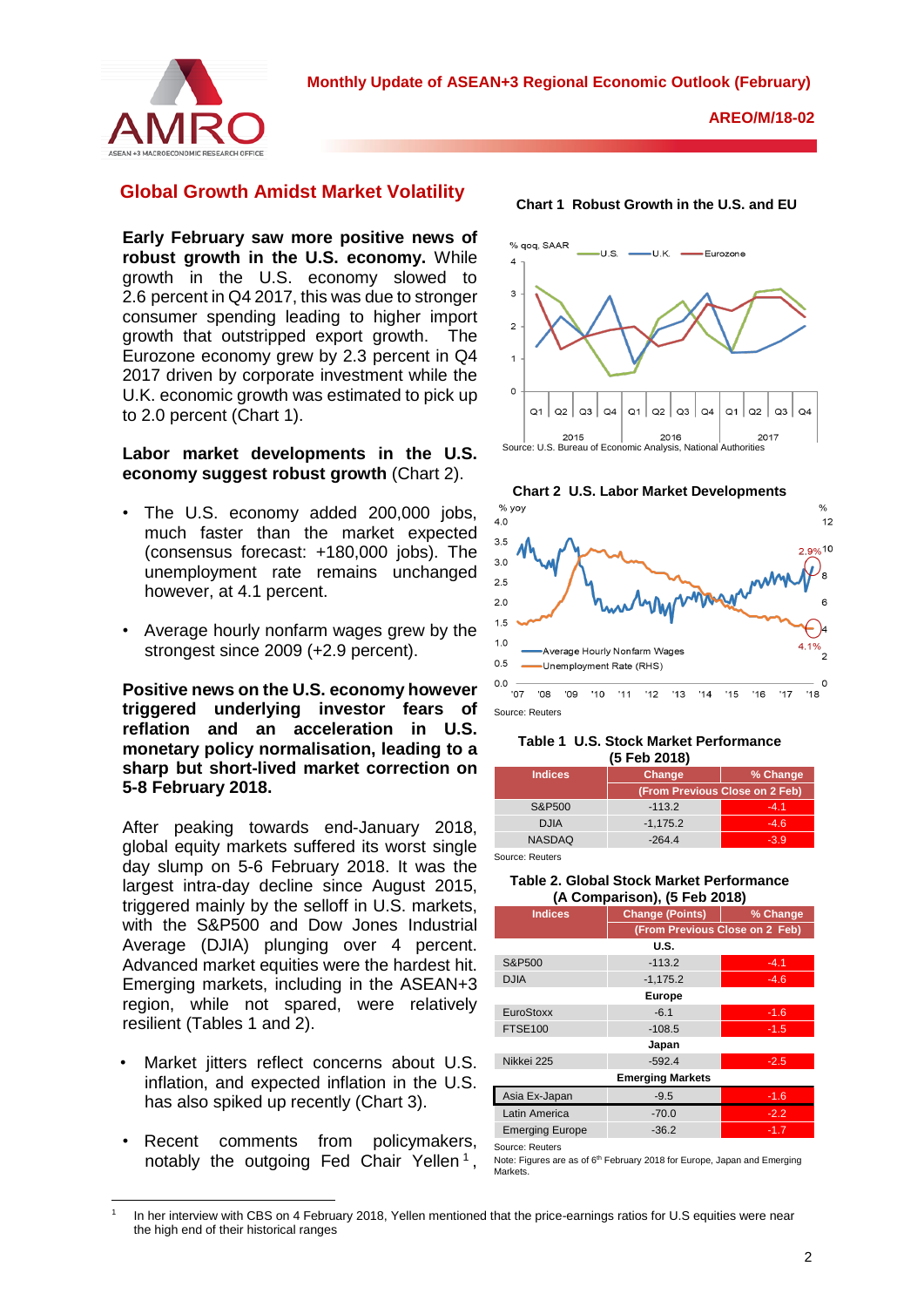

### **Global Growth Amidst Market Volatility**

**Early February saw more positive news of robust growth in the U.S. economy.** While growth in the U.S. economy slowed to 2.6 percent in Q4 2017, this was due to stronger consumer spending leading to higher import growth that outstripped export growth. The Eurozone economy grew by 2.3 percent in Q4 2017 driven by corporate investment while the U.K. economic growth was estimated to pick up to 2.0 percent (Chart 1).

### **Labor market developments in the U.S. economy suggest robust growth** (Chart 2).

- The U.S. economy added 200,000 jobs, much faster than the market expected (consensus forecast: +180,000 jobs). The unemployment rate remains unchanged however, at 4.1 percent.
- Average hourly nonfarm wages grew by the strongest since 2009 (+2.9 percent).

**Positive news on the U.S. economy however triggered underlying investor fears of reflation and an acceleration in U.S. monetary policy normalisation, leading to a sharp but short-lived market correction on 5-8 February 2018.**

After peaking towards end-January 2018, global equity markets suffered its worst single day slump on 5-6 February 2018. It was the largest intra-day decline since August 2015, triggered mainly by the selloff in U.S. markets, with the S&P500 and Dow Jones Industrial Average (DJIA) plunging over 4 percent. Advanced market equities were the hardest hit. Emerging markets, including in the ASEAN+3 region, while not spared, were relatively resilient (Tables 1 and 2).

- Market jitters reflect concerns about U.S. inflation, and expected inflation in the U.S. has also spiked up recently (Chart 3).
- Recent comments from policymakers, notably the outgoing Fed Chair Yellen<sup>1</sup>,

**.** 





Source: Reuters

#### **Table 1 U.S. Stock Market Performance (5 Feb 2018)**

| -------        |                                |        |  |  |
|----------------|--------------------------------|--------|--|--|
| <b>Indices</b> | % Change<br>Change             |        |  |  |
|                | (From Previous Close on 2 Feb) |        |  |  |
| S&P500         | $-113.2$                       | $-4.1$ |  |  |
| <b>DJIA</b>    | $-1,175.2$                     | $-4.6$ |  |  |
| <b>NASDAQ</b>  | $-264.4$                       | $-3.9$ |  |  |
|                |                                |        |  |  |

Source: Reuters

#### **Table 2. Global Stock Market Performance (A Comparison), (5 Feb 2018)**

| <b>Indices</b>          | <b>Change (Points)</b>         | % Change |  |  |
|-------------------------|--------------------------------|----------|--|--|
|                         | (From Previous Close on 2 Feb) |          |  |  |
|                         | U.S.                           |          |  |  |
| S&P500                  | $-113.2$                       | $-4.1$   |  |  |
| <b>DJIA</b>             | $-1,175.2$                     | $-4.6$   |  |  |
| <b>Europe</b>           |                                |          |  |  |
| EuroStoxx               | $-6.1$                         | $-1.6$   |  |  |
| <b>FTSE100</b>          | $-108.5$                       | $-1.5$   |  |  |
|                         | Japan                          |          |  |  |
| Nikkei 225              | $-592.4$                       | $-2.5$   |  |  |
| <b>Emerging Markets</b> |                                |          |  |  |
| Asia Ex-Japan           | $-9.5$                         | $-1.6$   |  |  |
| Latin America           | $-70.0$                        | $-2.2$   |  |  |
| <b>Emerging Europe</b>  | $-36.2$                        | $-1.7$   |  |  |

Source: Reuters

Note: Figures are as of 6<sup>th</sup> February 2018 for Europe, Japan and Emerging Morkets.

<sup>1</sup> In her interview with CBS on 4 February 2018, Yellen mentioned that the price-earnings ratios for U.S equities were near the high end of their historical ranges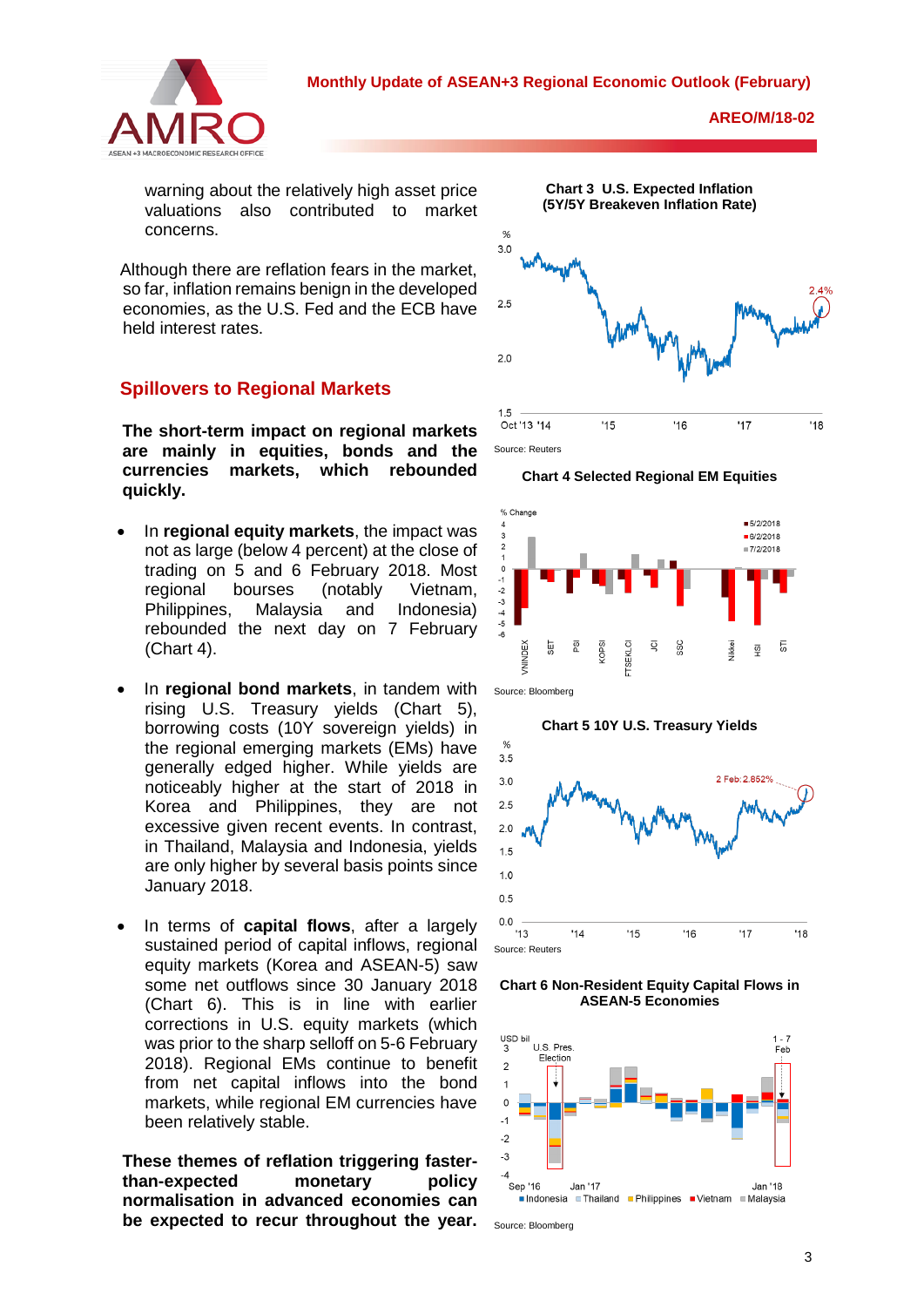

warning about the relatively high asset price valuations also contributed to market concerns.

Although there are reflation fears in the market, so far, inflation remains benign in the developed economies, as the U.S. Fed and the ECB have held interest rates.

# **Spillovers to Regional Markets**

**The short-term impact on regional markets are mainly in equities, bonds and the currencies markets, which rebounded quickly.**

- In **regional equity markets**, the impact was not as large (below 4 percent) at the close of trading on 5 and 6 February 2018. Most regional bourses (notably Vietnam, Philippines, Malaysia and Indonesia) rebounded the next day on 7 February (Chart 4).
- In **regional bond markets**, in tandem with rising U.S. Treasury yields (Chart 5), borrowing costs (10Y sovereign yields) in the regional emerging markets (EMs) have generally edged higher. While yields are noticeably higher at the start of 2018 in Korea and Philippines, they are not excessive given recent events. In contrast, in Thailand, Malaysia and Indonesia, yields are only higher by several basis points since January 2018.
- In terms of **capital flows**, after a largely sustained period of capital inflows, regional equity markets (Korea and ASEAN-5) saw some net outflows since 30 January 2018 (Chart 6). This is in line with earlier corrections in U.S. equity markets (which was prior to the sharp selloff on 5-6 February 2018). Regional EMs continue to benefit from net capital inflows into the bond markets, while regional EM currencies have been relatively stable.

**These themes of reflation triggering fasterthan-expected monetary policy normalisation in advanced economies can be expected to recur throughout the year.** 









**Chart 5 10Y U.S. Treasury Yields**

**Chart 6 Non-Resident Equity Capital Flows in ASEAN-5 Economies**



Source: Bloomberg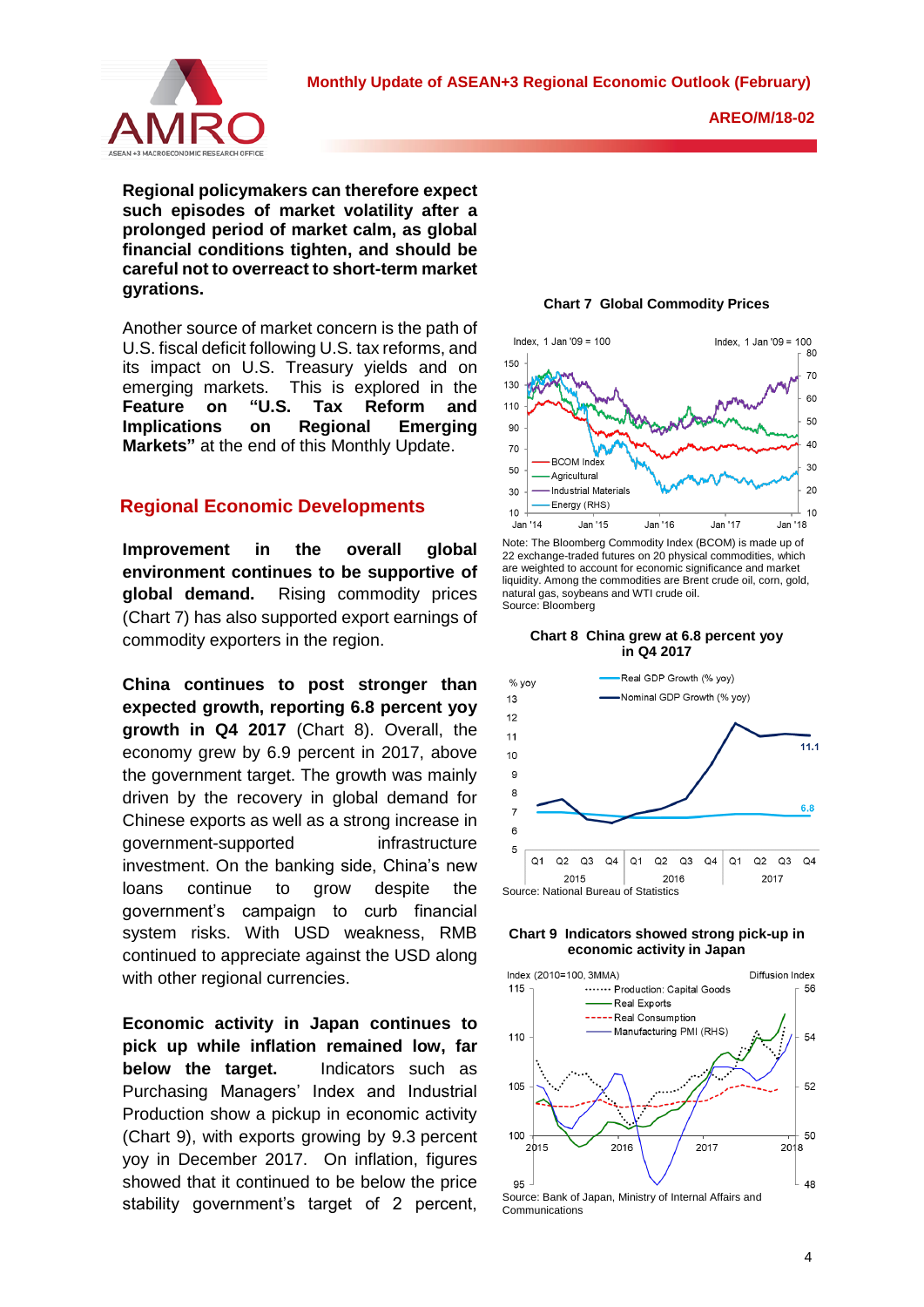

**AREO/M/18-02**

**Regional policymakers can therefore expect such episodes of market volatility after a prolonged period of market calm, as global financial conditions tighten, and should be careful not to overreact to short-term market gyrations.** 

Another source of market concern is the path of U.S. fiscal deficit following U.S. tax reforms, and its impact on U.S. Treasury yields and on emerging markets. This is explored in the **Feature on "U.S. Tax Reform and Implications on Regional Emerging Markets"** at the end of this Monthly Update.

# **Regional Economic Developments**

**Improvement in the overall global environment continues to be supportive of global demand.** Rising commodity prices (Chart 7) has also supported export earnings of commodity exporters in the region.

**China continues to post stronger than expected growth, reporting 6.8 percent yoy growth in Q4 2017** (Chart 8). Overall, the economy grew by 6.9 percent in 2017, above the government target. The growth was mainly driven by the recovery in global demand for Chinese exports as well as a strong increase in government-supported infrastructure investment. On the banking side, China's new loans continue to grow despite the government's campaign to curb financial system risks. With USD weakness, RMB continued to appreciate against the USD along with other regional currencies.

**Economic activity in Japan continues to pick up while inflation remained low, far below the target.** Indicators such as Purchasing Managers' Index and Industrial Production show a pickup in economic activity (Chart 9), with exports growing by 9.3 percent yoy in December 2017. On inflation, figures showed that it continued to be below the price stability government's target of 2 percent,

**Chart 7 Global Commodity Prices**



Note: The Bloomberg Commodity Index (BCOM) is made up of 22 exchange-traded futures on 20 physical commodities, which are weighted to account for economic significance and market liquidity. Among the commodities are Brent crude oil, corn, gold, natural gas, soybeans and WTI crude oil. Source: Bloomberg







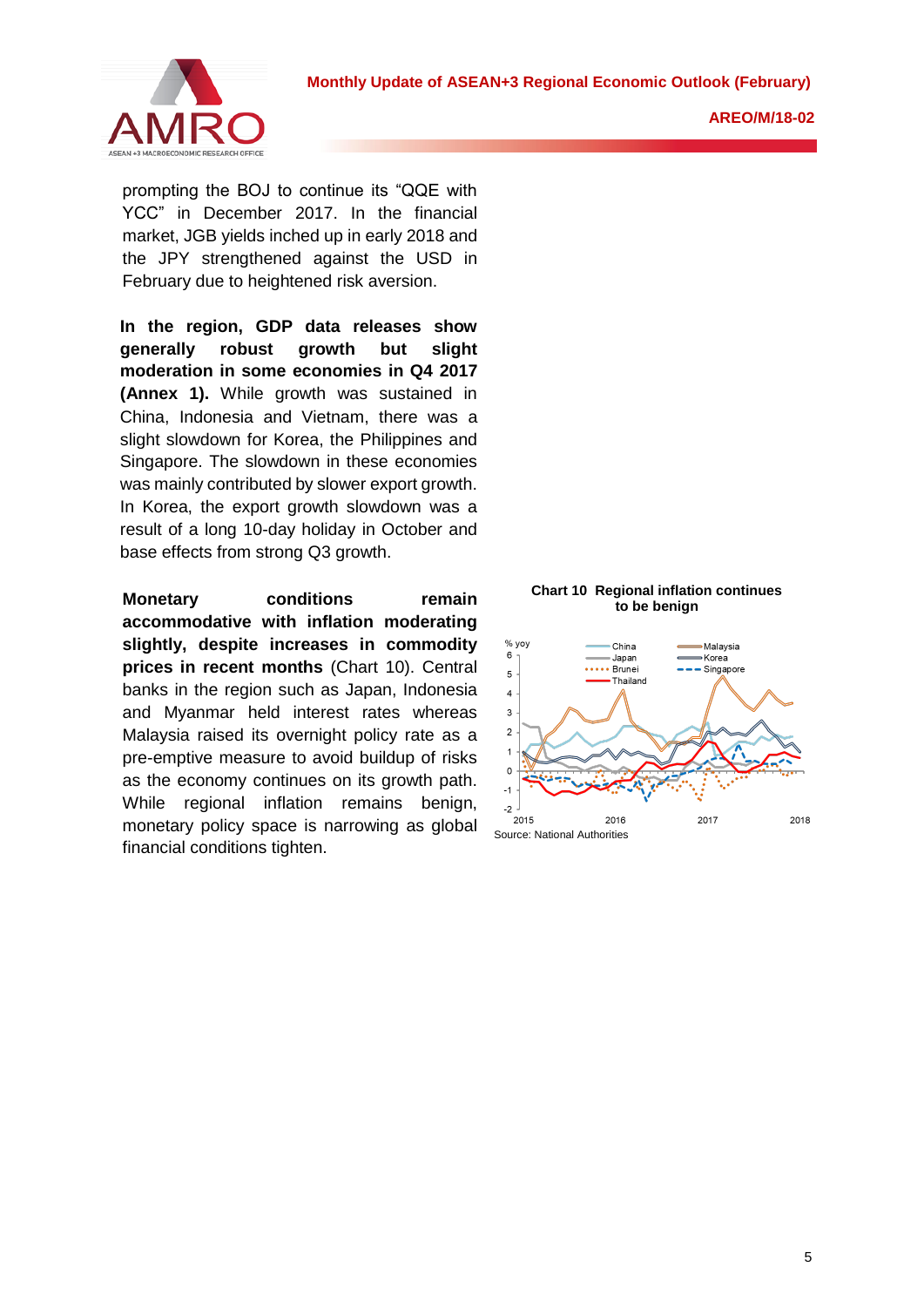

prompting the BOJ to continue its "QQE with YCC" in December 2017. In the financial market, JGB yields inched up in early 2018 and the JPY strengthened against the USD in February due to heightened risk aversion.

**In the region, GDP data releases show generally robust growth but slight moderation in some economies in Q4 2017 (Annex 1).** While growth was sustained in China, Indonesia and Vietnam, there was a slight slowdown for Korea, the Philippines and Singapore. The slowdown in these economies was mainly contributed by slower export growth. In Korea, the export growth slowdown was a result of a long 10-day holiday in October and base effects from strong Q3 growth.

**Monetary conditions remain accommodative with inflation moderating slightly, despite increases in commodity prices in recent months** (Chart 10). Central banks in the region such as Japan, Indonesia and Myanmar held interest rates whereas Malaysia raised its overnight policy rate as a pre-emptive measure to avoid buildup of risks as the economy continues on its growth path. While regional inflation remains benign, monetary policy space is narrowing as global financial conditions tighten.

# **Chart 10 Regional inflation continues to be benign**

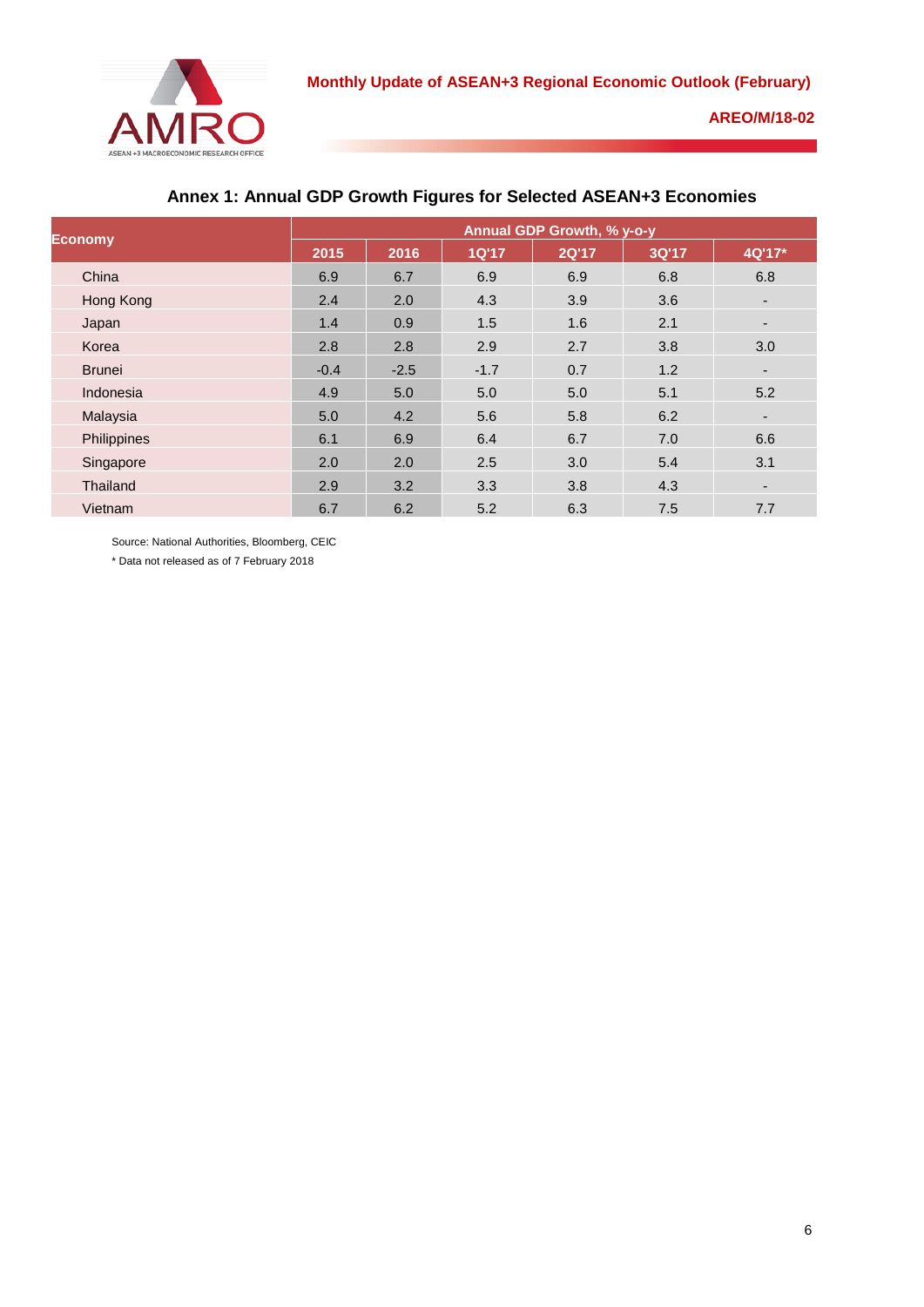

| <b>Economy</b> | Annual GDP Growth, % y-o-y |        |              |       |       |                          |
|----------------|----------------------------|--------|--------------|-------|-------|--------------------------|
|                | 2015                       | 2016   | <b>1Q'17</b> | 2Q'17 | 3Q'17 | 4Q'17*                   |
| China          | 6.9                        | 6.7    | 6.9          | 6.9   | 6.8   | 6.8                      |
| Hong Kong      | 2.4                        | 2.0    | 4.3          | 3.9   | 3.6   | ٠                        |
| Japan          | 1.4                        | 0.9    | 1.5          | 1.6   | 2.1   | $\overline{\phantom{a}}$ |
| Korea          | 2.8                        | 2.8    | 2.9          | 2.7   | 3.8   | 3.0                      |
| <b>Brunei</b>  | $-0.4$                     | $-2.5$ | $-1.7$       | 0.7   | 1.2   | $\overline{\phantom{a}}$ |
| Indonesia      | 4.9                        | 5.0    | 5.0          | 5.0   | 5.1   | 5.2                      |
| Malaysia       | 5.0                        | 4.2    | 5.6          | 5.8   | 6.2   | ٠                        |
| Philippines    | 6.1                        | 6.9    | 6.4          | 6.7   | 7.0   | 6.6                      |
| Singapore      | 2.0                        | 2.0    | 2.5          | 3.0   | 5.4   | 3.1                      |
| Thailand       | 2.9                        | 3.2    | 3.3          | 3.8   | 4.3   | $\overline{\phantom{0}}$ |
| Vietnam        | 6.7                        | 6.2    | 5.2          | 6.3   | 7.5   | 7.7                      |

# **Annex 1: Annual GDP Growth Figures for Selected ASEAN+3 Economies**

Source: National Authorities, Bloomberg, CEIC

\* Data not released as of 7 February 2018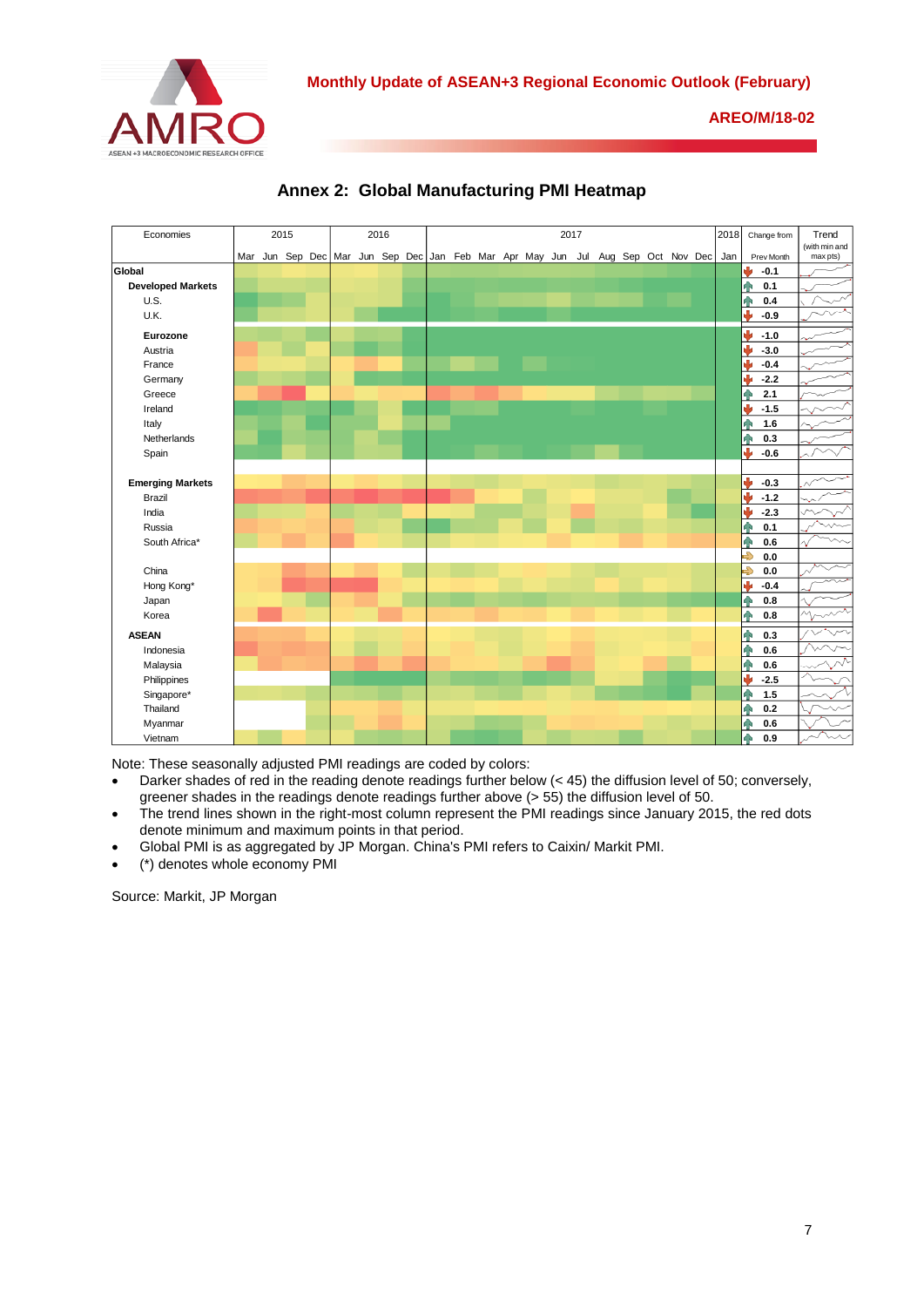



**Annex 2: Global Manufacturing PMI Heatmap** 

Note: These seasonally adjusted PMI readings are coded by colors:

- Darker shades of red in the reading denote readings further below (< 45) the diffusion level of 50; conversely, greener shades in the readings denote readings further above (> 55) the diffusion level of 50.
- The trend lines shown in the right-most column represent the PMI readings since January 2015, the red dots denote minimum and maximum points in that period.
- Global PMI is as aggregated by JP Morgan. China's PMI refers to Caixin/ Markit PMI.
- (\*) denotes whole economy PMI

Source: Markit, JP Morgan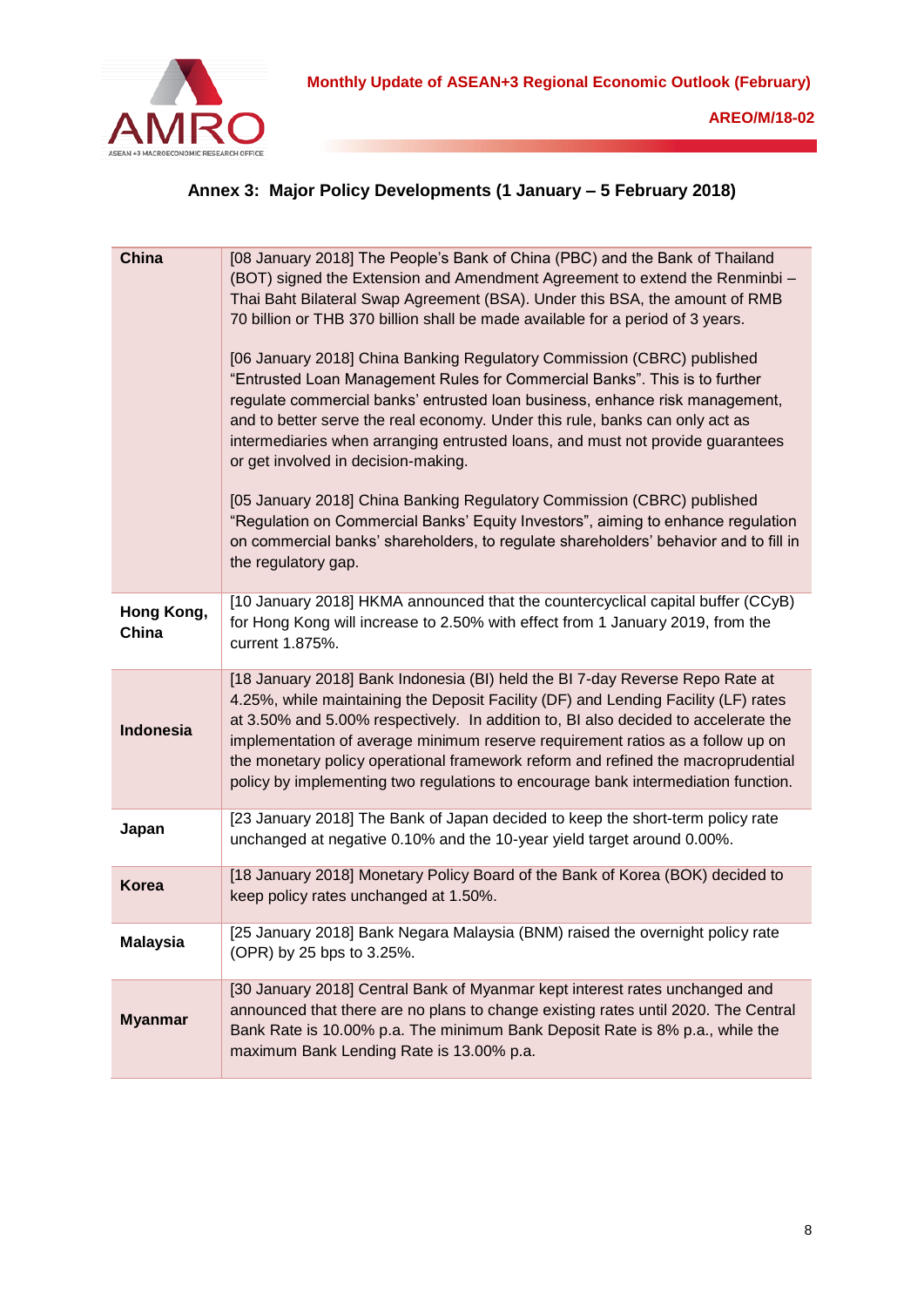

# **Annex 3: Major Policy Developments (1 January – 5 February 2018)**

| China               | [08 January 2018] The People's Bank of China (PBC) and the Bank of Thailand<br>(BOT) signed the Extension and Amendment Agreement to extend the Renminbi -<br>Thai Baht Bilateral Swap Agreement (BSA). Under this BSA, the amount of RMB<br>70 billion or THB 370 billion shall be made available for a period of 3 years.<br>[06 January 2018] China Banking Regulatory Commission (CBRC) published<br>"Entrusted Loan Management Rules for Commercial Banks". This is to further<br>regulate commercial banks' entrusted loan business, enhance risk management,<br>and to better serve the real economy. Under this rule, banks can only act as<br>intermediaries when arranging entrusted loans, and must not provide guarantees<br>or get involved in decision-making.<br>[05 January 2018] China Banking Regulatory Commission (CBRC) published<br>"Regulation on Commercial Banks' Equity Investors", aiming to enhance regulation<br>on commercial banks' shareholders, to regulate shareholders' behavior and to fill in<br>the regulatory gap. |
|---------------------|-----------------------------------------------------------------------------------------------------------------------------------------------------------------------------------------------------------------------------------------------------------------------------------------------------------------------------------------------------------------------------------------------------------------------------------------------------------------------------------------------------------------------------------------------------------------------------------------------------------------------------------------------------------------------------------------------------------------------------------------------------------------------------------------------------------------------------------------------------------------------------------------------------------------------------------------------------------------------------------------------------------------------------------------------------------|
| Hong Kong,<br>China | [10 January 2018] HKMA announced that the countercyclical capital buffer (CCyB)<br>for Hong Kong will increase to 2.50% with effect from 1 January 2019, from the<br>current 1.875%.                                                                                                                                                                                                                                                                                                                                                                                                                                                                                                                                                                                                                                                                                                                                                                                                                                                                      |
| Indonesia           | [18 January 2018] Bank Indonesia (BI) held the BI 7-day Reverse Repo Rate at<br>4.25%, while maintaining the Deposit Facility (DF) and Lending Facility (LF) rates<br>at 3.50% and 5.00% respectively. In addition to, BI also decided to accelerate the<br>implementation of average minimum reserve requirement ratios as a follow up on<br>the monetary policy operational framework reform and refined the macroprudential<br>policy by implementing two regulations to encourage bank intermediation function.                                                                                                                                                                                                                                                                                                                                                                                                                                                                                                                                       |
| Japan               | [23 January 2018] The Bank of Japan decided to keep the short-term policy rate<br>unchanged at negative 0.10% and the 10-year yield target around 0.00%.                                                                                                                                                                                                                                                                                                                                                                                                                                                                                                                                                                                                                                                                                                                                                                                                                                                                                                  |
| <b>Korea</b>        | [18 January 2018] Monetary Policy Board of the Bank of Korea (BOK) decided to<br>keep policy rates unchanged at 1.50%.                                                                                                                                                                                                                                                                                                                                                                                                                                                                                                                                                                                                                                                                                                                                                                                                                                                                                                                                    |
| <b>Malaysia</b>     | [25 January 2018] Bank Negara Malaysia (BNM) raised the overnight policy rate<br>(OPR) by 25 bps to 3.25%.                                                                                                                                                                                                                                                                                                                                                                                                                                                                                                                                                                                                                                                                                                                                                                                                                                                                                                                                                |
| <b>Myanmar</b>      | [30 January 2018] Central Bank of Myanmar kept interest rates unchanged and<br>announced that there are no plans to change existing rates until 2020. The Central<br>Bank Rate is 10.00% p.a. The minimum Bank Deposit Rate is 8% p.a., while the<br>maximum Bank Lending Rate is 13.00% p.a.                                                                                                                                                                                                                                                                                                                                                                                                                                                                                                                                                                                                                                                                                                                                                             |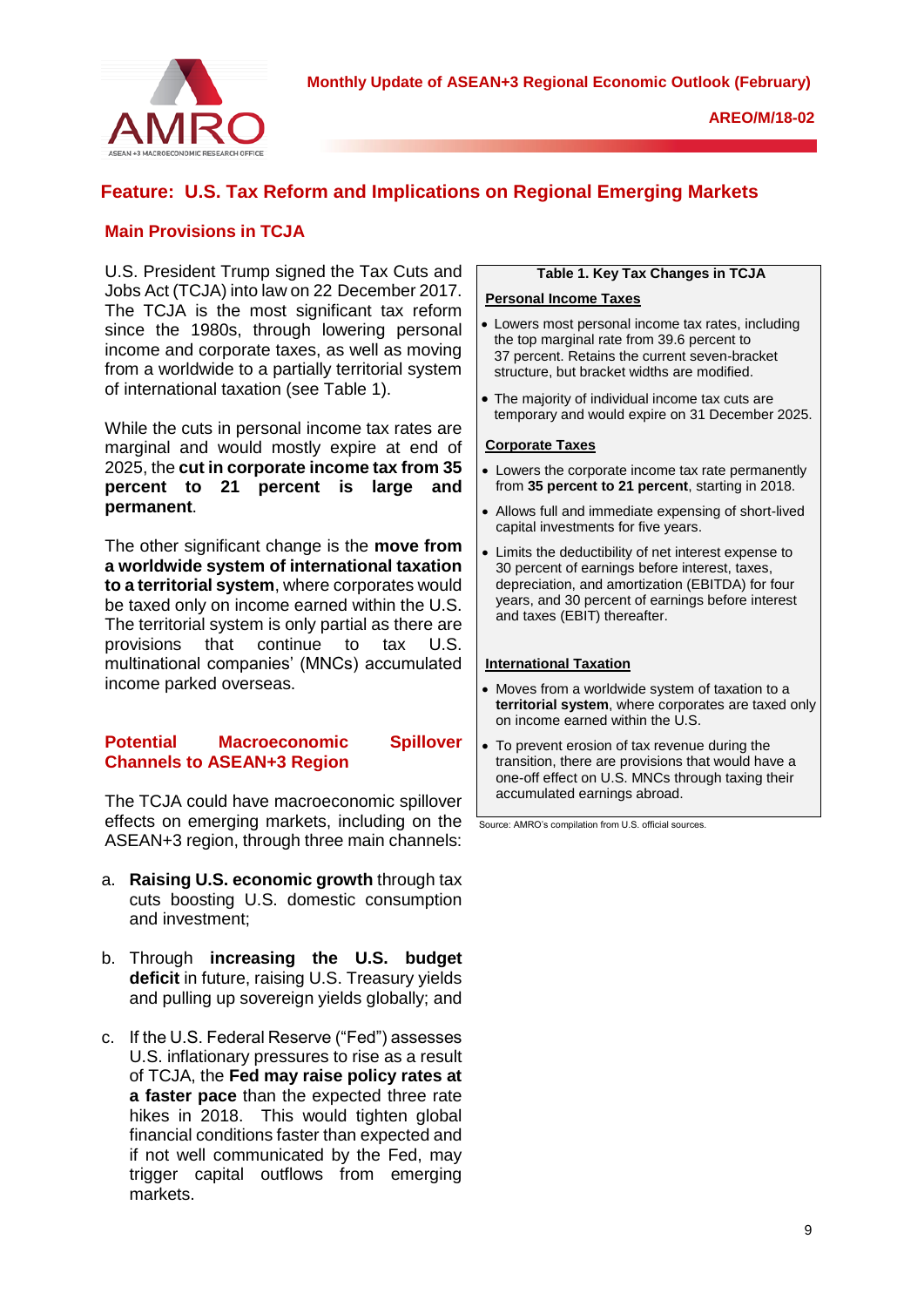**Monthly Update of ASEAN+3 Regional Economic Outlook (February)**



# **Feature: U.S. Tax Reform and Implications on Regional Emerging Markets**

# **Main Provisions in TCJA**

U.S. President Trump signed the Tax Cuts and Jobs Act (TCJA) into law on 22 December 2017. The TCJA is the most significant tax reform since the 1980s, through lowering personal income and corporate taxes, as well as moving from a worldwide to a partially territorial system of international taxation (see Table 1).

While the cuts in personal income tax rates are marginal and would mostly expire at end of 2025, the **cut in corporate income tax from 35 percent to 21 percent is large and permanent**.

The other significant change is the **move from a worldwide system of international taxation to a territorial system**, where corporates would be taxed only on income earned within the U.S. The territorial system is only partial as there are provisions that continue to tax U.S. multinational companies' (MNCs) accumulated income parked overseas.

# **Potential Macroeconomic Spillover Channels to ASEAN+3 Region**

The TCJA could have macroeconomic spillover effects on emerging markets, including on the ASEAN+3 region, through three main channels:

- a. **Raising U.S. economic growth** through tax cuts boosting U.S. domestic consumption and investment;
- b. Through **increasing the U.S. budget deficit** in future, raising U.S. Treasury yields and pulling up sovereign yields globally; and
- c. If the U.S. Federal Reserve ("Fed") assesses U.S. inflationary pressures to rise as a result of TCJA, the **Fed may raise policy rates at a faster pace** than the expected three rate hikes in 2018. This would tighten global financial conditions faster than expected and if not well communicated by the Fed, may trigger capital outflows from emerging markets.

### **Table 1. Key Tax Changes in TCJA**

### **Personal Income Taxes**

- Lowers most personal income tax rates, including the top marginal rate from 39.6 percent to 37 percent. Retains the current seven-bracket structure, but bracket widths are modified.
- The majority of individual income tax cuts are temporary and would expire on 31 December 2025.

### **Corporate Taxes**

- Lowers the corporate income tax rate permanently from **35 percent to 21 percent**, starting in 2018.
- Allows full and immediate expensing of short-lived capital investments for five years.
- Limits the deductibility of net interest expense to 30 percent of earnings before interest, taxes, depreciation, and amortization (EBITDA) for four years, and 30 percent of earnings before interest and taxes (EBIT) thereafter.

### **International Taxation**

- Moves from a worldwide system of taxation to a **territorial system**, where corporates are taxed only on income earned within the U.S.
- To prevent erosion of tax revenue during the transition, there are provisions that would have a one-off effect on U.S. MNCs through taxing their accumulated earnings abroad.

Source: AMRO's compilation from U.S. official sources.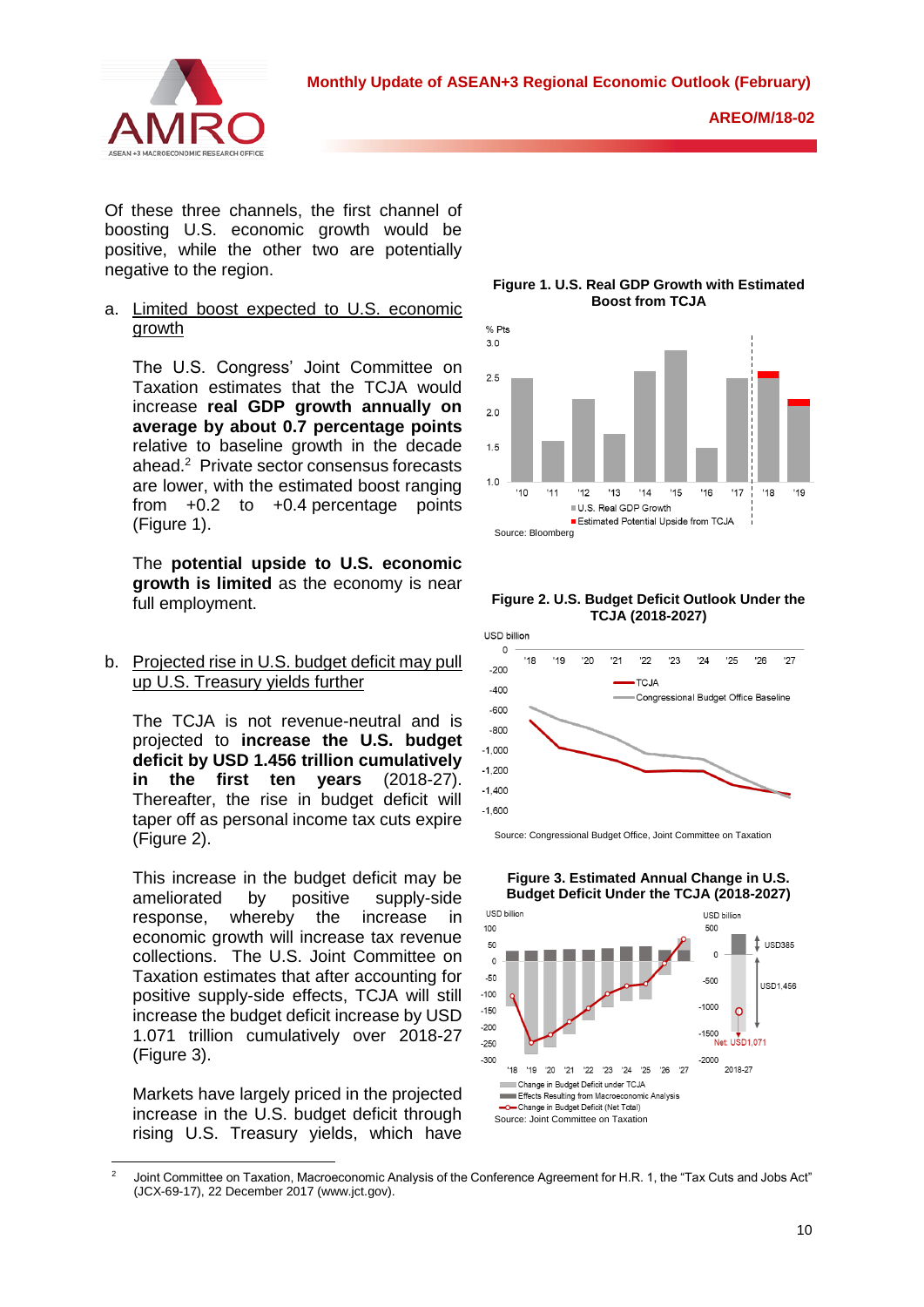

**AREO/M/18-02**

Of these three channels, the first channel of boosting U.S. economic growth would be positive, while the other two are potentially negative to the region.

a. Limited boost expected to U.S. economic growth

The U.S. Congress' Joint Committee on Taxation estimates that the TCJA would increase **real GDP growth annually on average by about 0.7 percentage points**  relative to baseline growth in the decade ahead.<sup>2</sup> Private sector consensus forecasts are lower, with the estimated boost ranging from  $+0.2$  to  $+0.4$  percentage points (Figure 1).

The **potential upside to U.S. economic growth is limited** as the economy is near full employment.

b. Projected rise in U.S. budget deficit may pull up U.S. Treasury yields further

The TCJA is not revenue-neutral and is projected to **increase the U.S. budget deficit by USD 1.456 trillion cumulatively in the first ten years** (2018-27). Thereafter, the rise in budget deficit will taper off as personal income tax cuts expire (Figure 2).

This increase in the budget deficit may be ameliorated by positive supply-side response, whereby the increase in economic growth will increase tax revenue collections. The U.S. Joint Committee on Taxation estimates that after accounting for positive supply-side effects, TCJA will still increase the budget deficit increase by USD 1.071 trillion cumulatively over 2018-27 (Figure 3).

Markets have largely priced in the projected increase in the U.S. budget deficit through rising U.S. Treasury yields, which have

**Figure 1. U.S. Real GDP Growth with Estimated Boost from TCJA**







Source: Congressional Budget Office, Joint Committee on Taxation

**Figure 3. Estimated Annual Change in U.S. Budget Deficit Under the TCJA (2018-2027)**



<sup>1</sup> <sup>2</sup> Joint Committee on Taxation, Macroeconomic Analysis of the Conference Agreement for H.R. 1, the "Tax Cuts and Jobs Act" (JCX-69-17), 22 December 2017 [\(www.jct.gov\)](http://www.jct.gov/).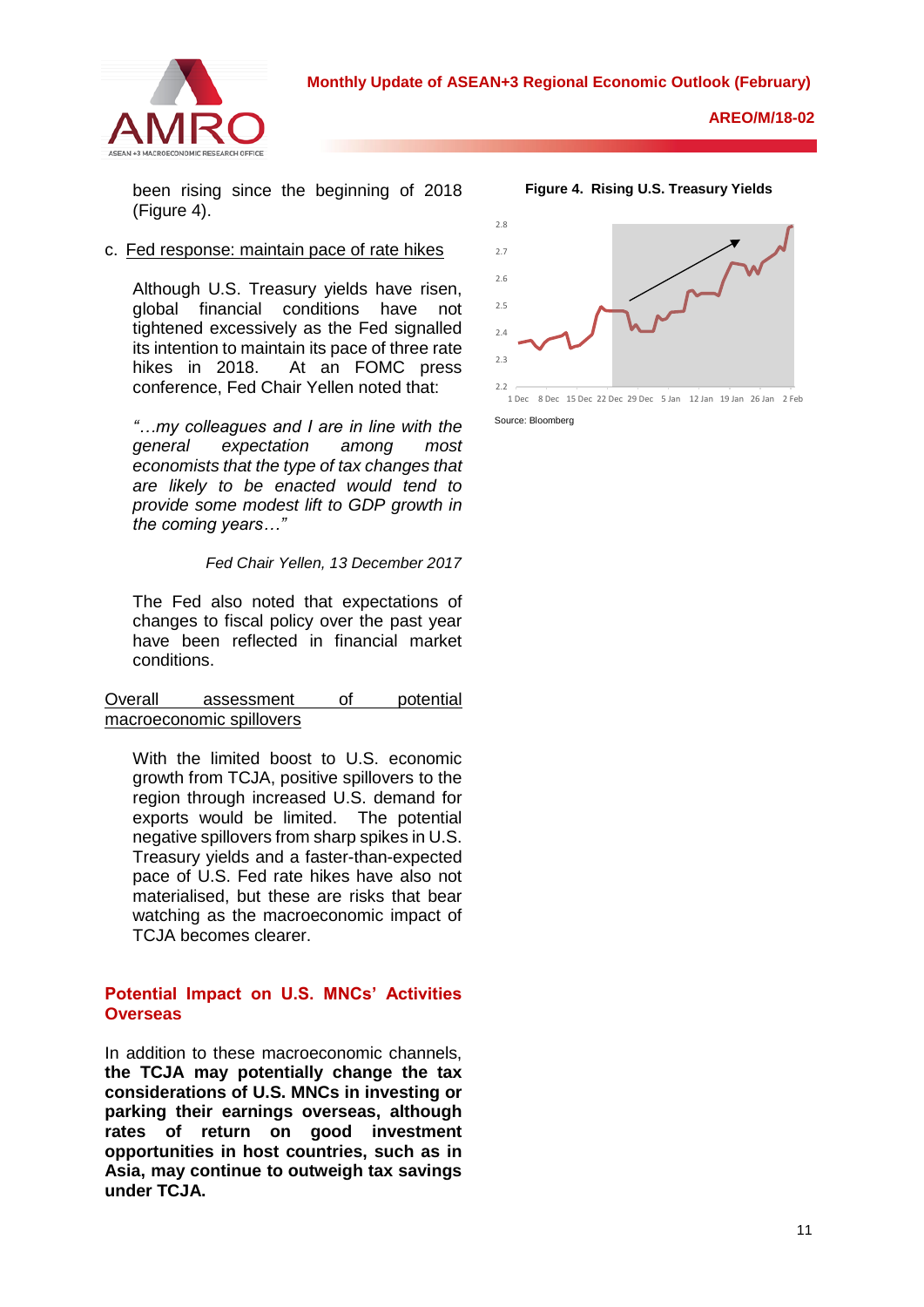

been rising since the beginning of 2018 (Figure 4).

### c. Fed response: maintain pace of rate hikes

Although U.S. Treasury yields have risen, global financial conditions have not tightened excessively as the Fed signalled its intention to maintain its pace of three rate hikes in 2018. At an FOMC press conference, Fed Chair Yellen noted that:

*"…my colleagues and I are in line with the general expectation among most economists that the type of tax changes that are likely to be enacted would tend to provide some modest lift to GDP growth in the coming years…"*

*Fed Chair Yellen, 13 December 2017*

The Fed also noted that expectations of changes to fiscal policy over the past year have been reflected in financial market conditions.

Overall assessment of potential macroeconomic spillovers

With the limited boost to U.S. economic growth from TCJA, positive spillovers to the region through increased U.S. demand for exports would be limited. The potential negative spillovers from sharp spikes in U.S. Treasury yields and a faster-than-expected pace of U.S. Fed rate hikes have also not materialised, but these are risks that bear watching as the macroeconomic impact of TCJA becomes clearer.

### **Potential Impact on U.S. MNCs' Activities Overseas**

In addition to these macroeconomic channels, **the TCJA may potentially change the tax considerations of U.S. MNCs in investing or parking their earnings overseas, although rates of return on good investment opportunities in host countries, such as in Asia, may continue to outweigh tax savings under TCJA.**



**Figure 4. Rising U.S. Treasury Yields**

Source: Bloomberg